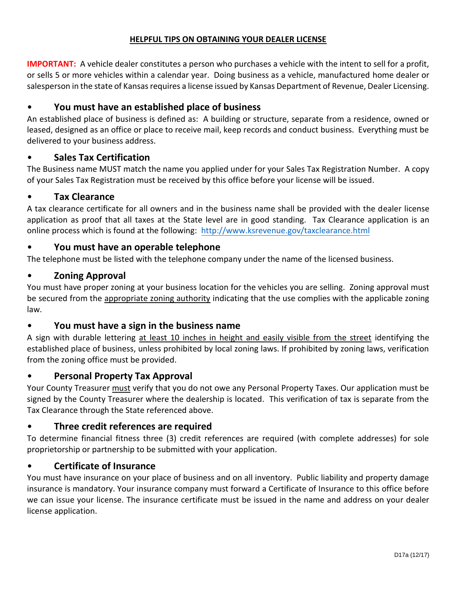## **HELPFUL TIPS ON OBTAINING YOUR DEALER LICENSE**

**IMPORTANT:** A vehicle dealer constitutes a person who purchases a vehicle with the intent to sell for a profit, or sells 5 or more vehicles within a calendar year. Doing business as a vehicle, manufactured home dealer or salesperson in the state of Kansas requires a license issued by Kansas Department of Revenue, Dealer Licensing.

# • **You must have an established place of business**

An established place of business is defined as: A building or structure, separate from a residence, owned or leased, designed as an office or place to receive mail, keep records and conduct business. Everything must be delivered to your business address.

# • **Sales Tax Certification**

The Business name MUST match the name you applied under for your Sales Tax Registration Number. A copy of your Sales Tax Registration must be received by this office before your license will be issued.

# • **Tax Clearance**

A tax clearance certificate for all owners and in the business name shall be provided with the dealer license application as proof that all taxes at the State level are in good standing. Tax Clearance application is an online process which is found at the foll[owing: http://www.ksrevenue.](http://www.ksrevenue.org/taxclearance.html)gov/taxclearance.html

# • **You must have an operable telephone**

The telephone must be listed with the telephone company under the name of the licensed business.

# • **Zoning Approval**

You must have proper zoning at your business location for the vehicles you are selling. Zoning approval must be secured from the appropriate zoning authority indicating that the use complies with the applicable zoning law.

## • **You must have a sign in the business name**

A sign with durable lettering at least 10 inches in height and easily visible from the street identifying the established place of business, unless prohibited by local zoning laws. If prohibited by zoning laws, verification from the zoning office must be provided.

## • **Personal Property Tax Approval**

Your County Treasurer must verify that you do not owe any Personal Property Taxes. Our application must be signed by the County Treasurer where the dealership is located. This verification of tax is separate from the Tax Clearance through the State referenced above.

# • **Three credit references are required**

To determine financial fitness three (3) credit references are required (with complete addresses) for sole proprietorship or partnership to be submitted with your application.

## • **Certificate of Insurance**

You must have insurance on your place of business and on all inventory. Public liability and property damage insurance is mandatory. Your insurance company must forward a Certificate of Insurance to this office before we can issue your license. The insurance certificate must be issued in the name and address on your dealer license application.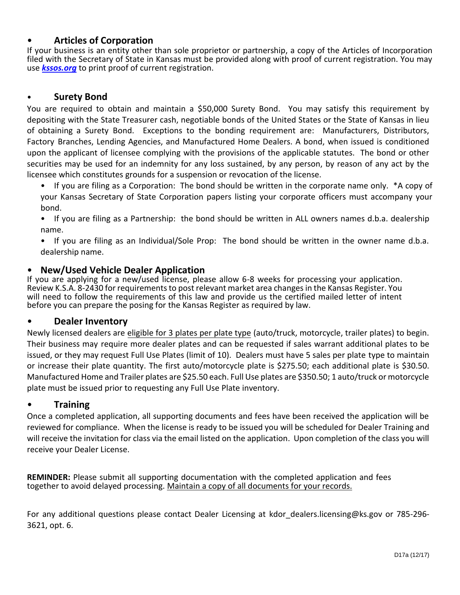# • **Articles of Corporation**

If your business is an entity other than sole proprietor or partnership, a copy of the Articles of Incorporation filed with the Secretary of State in Kansas must be provided along with proof of current registration. You may use *[kssos.org](http://kssos.org)* to print proof of current registration.

#### • **Surety Bond**

You are required to obtain and maintain a \$50,000 Surety Bond. You may satisfy this requirement by depositing with the State Treasurer cash, negotiable bonds of the United States or the State of Kansas in lieu of obtaining a Surety Bond. Exceptions to the bonding requirement are: Manufacturers, Distributors, Factory Branches, Lending Agencies, and Manufactured Home Dealers. A bond, when issued is conditioned upon the applicant of licensee complying with the provisions of the applicable statutes. The bond or other securities may be used for an indemnity for any loss sustained, by any person, by reason of any act by the licensee which constitutes grounds for a suspension or revocation of the license.

• If you are filing as a Corporation: The bond should be written in the corporate name only. \*A copy of your Kansas Secretary of State Corporation papers listing your corporate officers must accompany your bond.

• If you are filing as a Partnership: the bond should be written in ALL owners names d.b.a. dealership name.

• If you are filing as an Individual/Sole Prop: The bond should be written in the owner name d.b.a. dealership name.

#### • **New/Used Vehicle Dealer Application**

If you are applying for a new/used license, please allow 6-8 weeks for processing your application. Review K.S.A. 8-2430 for requirements to post relevant market area changes in the Kansas Register. You will need to follow the requirements of this law and provide us the certified mailed letter of intent before you can prepare the posing for the Kansas Register as required by law.

#### • **Dealer Inventory**

Newly licensed dealers are eligible for 3 plates per plate type (auto/truck, motorcycle, trailer plates) to begin. Their business may require more dealer plates and can be requested if sales warrant additional plates to be issued, or they may request Full Use Plates (limit of 10). Dealers must have 5 sales per plate type to maintain or increase their plate quantity. The first auto/motorcycle plate is \$275.50; each additional plate is \$30.50. Manufactured Home and Trailer plates are \$25.50 each. Full Use plates are \$350.50; 1 auto/truck or motorcycle plate must be issued prior to requesting any Full Use Plate inventory.

#### • **Training**

Once a completed application, all supporting documents and fees have been received the application will be reviewed for compliance. When the license is ready to be issued you will be scheduled for Dealer Training and will receive the invitation for class via the email listed on the application. Upon completion of the class you will receive your Dealer License.

**REMINDER:** Please submit all supporting documentation with the completed application and fees together to avoid delayed processing. Maintain a copy of all documents for your records.

For any additional questions please contact Dealer Licensing at kdor dealers.licensing@ks.gov or 785-296-3621, opt. 6.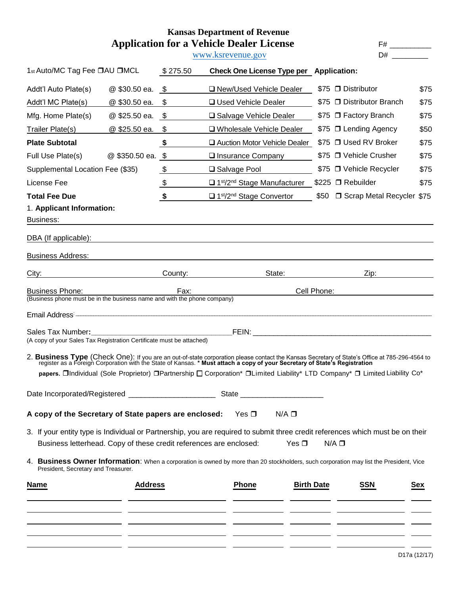## **Kansas Department of Revenue Application for a Vehicle Dealer License F#** \_\_\_\_\_\_\_\_\_

[www.ksrevenue.](http://www.ksrevenue.org/)gov

| 1st Auto/MC Tag Fee □AU □MCL                                             |                   | \$275.50      | Check One License Type per Application:                                                                                                                                                                                                 |                   |                                                                                                                                                                                                                                |      |
|--------------------------------------------------------------------------|-------------------|---------------|-----------------------------------------------------------------------------------------------------------------------------------------------------------------------------------------------------------------------------------------|-------------------|--------------------------------------------------------------------------------------------------------------------------------------------------------------------------------------------------------------------------------|------|
| Addt'l Auto Plate(s)                                                     | @ \$30.50 ea.     | \$            | □ New/Used Vehicle Dealer                                                                                                                                                                                                               |                   | \$75 □ Distributor                                                                                                                                                                                                             | \$75 |
| Addt'l MC Plate(s)                                                       | @ \$30.50 ea.     | \$            | □ Used Vehicle Dealer                                                                                                                                                                                                                   |                   | \$75 □ Distributor Branch                                                                                                                                                                                                      | \$75 |
| Mfg. Home Plate(s)                                                       | @ \$25.50 ea.     | \$            | □ Salvage Vehicle Dealer                                                                                                                                                                                                                |                   | \$75 □ Factory Branch                                                                                                                                                                                                          | \$75 |
| Trailer Plate(s)                                                         | @ \$25.50 ea.     | \$            | □ Wholesale Vehicle Dealer                                                                                                                                                                                                              |                   | \$75 □ Lending Agency                                                                                                                                                                                                          | \$50 |
| <b>Plate Subtotal</b>                                                    |                   | \$            | Auction Motor Vehicle Dealer                                                                                                                                                                                                            |                   | \$75 □ Used RV Broker                                                                                                                                                                                                          | \$75 |
| Full Use Plate(s)                                                        | @ \$350.50 ea. \$ |               | □ Insurance Company                                                                                                                                                                                                                     |                   | \$75 □ Vehicle Crusher                                                                                                                                                                                                         | \$75 |
| Supplemental Location Fee (\$35)                                         |                   | $\frac{1}{2}$ | □ Salvage Pool                                                                                                                                                                                                                          |                   | \$75 □ Vehicle Recycler                                                                                                                                                                                                        | \$75 |
| License Fee                                                              |                   | $\frac{1}{2}$ | $\Box$ 1 <sup>st</sup> /2 <sup>nd</sup> Stage Manufacturer                                                                                                                                                                              |                   | \$225 □ Rebuilder                                                                                                                                                                                                              | \$75 |
| <b>Total Fee Due</b>                                                     |                   | \$            | □ 1 <sup>st</sup> /2 <sup>nd</sup> Stage Convertor                                                                                                                                                                                      | \$50              | □ Scrap Metal Recycler \$75                                                                                                                                                                                                    |      |
| 1. Applicant Information:                                                |                   |               |                                                                                                                                                                                                                                         |                   |                                                                                                                                                                                                                                |      |
| Business:                                                                |                   |               |                                                                                                                                                                                                                                         |                   |                                                                                                                                                                                                                                |      |
| DBA (If applicable):                                                     |                   |               |                                                                                                                                                                                                                                         |                   |                                                                                                                                                                                                                                |      |
| <b>Business Address:</b>                                                 |                   |               |                                                                                                                                                                                                                                         |                   |                                                                                                                                                                                                                                |      |
| City:                                                                    |                   |               | County: the country of the country of the country of the country of the country of the country of the country of the country of the country of the country of the country of the country of the country of the country of the<br>State: |                   | Zip: the contract of the contract of the contract of the contract of the contract of the contract of the contract of the contract of the contract of the contract of the contract of the contract of the contract of the contr |      |
| <b>Business Phone:</b>                                                   |                   | Fax:          |                                                                                                                                                                                                                                         | Cell Phone:       |                                                                                                                                                                                                                                |      |
| (Business phone must be in the business name and with the phone company) |                   |               |                                                                                                                                                                                                                                         |                   |                                                                                                                                                                                                                                |      |
|                                                                          |                   |               | Email Address <b>Committee Committee Committee Committee Committee Committee Committee Committee Committee Committee</b>                                                                                                                |                   |                                                                                                                                                                                                                                |      |
| (A copy of your Sales Tax Registration Certificate must be attached)     |                   |               |                                                                                                                                                                                                                                         |                   |                                                                                                                                                                                                                                |      |
|                                                                          |                   |               | 2. Business Type (Check One): If you are an out-of-state corporation please contact the Kansas Secretary of State's Office at 785-296-4564 to register as a Foreign Corporation with the State of Kansas. * Must attach a copy          |                   |                                                                                                                                                                                                                                |      |
|                                                                          |                   |               | papers. OIndividual (Sole Proprietor) OPartnership O Corporation* OLimited Liability* LTD Company* O Limited Liability Co*                                                                                                              |                   |                                                                                                                                                                                                                                |      |
|                                                                          |                   |               |                                                                                                                                                                                                                                         |                   |                                                                                                                                                                                                                                |      |
| A copy of the Secretary of State papers are enclosed:                    |                   |               | Yes $\square$<br>$N/A$ $\square$                                                                                                                                                                                                        |                   |                                                                                                                                                                                                                                |      |
| Business letterhead. Copy of these credit references are enclosed:       |                   |               | 3. If your entity type is Individual or Partnership, you are required to submit three credit references which must be on their<br>Yes $\Box$                                                                                            |                   | $N/A$ $\square$                                                                                                                                                                                                                |      |
| President, Secretary and Treasurer.                                      |                   |               | 4. Business Owner Information: When a corporation is owned by more than 20 stockholders, such corporation may list the President, Vice                                                                                                  |                   |                                                                                                                                                                                                                                |      |
| <b>Name</b>                                                              | <b>Address</b>    |               | <b>Phone</b>                                                                                                                                                                                                                            | <b>Birth Date</b> | <b>SSN</b>                                                                                                                                                                                                                     | Sex  |
|                                                                          |                   |               |                                                                                                                                                                                                                                         |                   |                                                                                                                                                                                                                                |      |
|                                                                          |                   |               |                                                                                                                                                                                                                                         |                   |                                                                                                                                                                                                                                |      |
|                                                                          |                   |               |                                                                                                                                                                                                                                         |                   |                                                                                                                                                                                                                                |      |
|                                                                          |                   |               |                                                                                                                                                                                                                                         |                   |                                                                                                                                                                                                                                |      |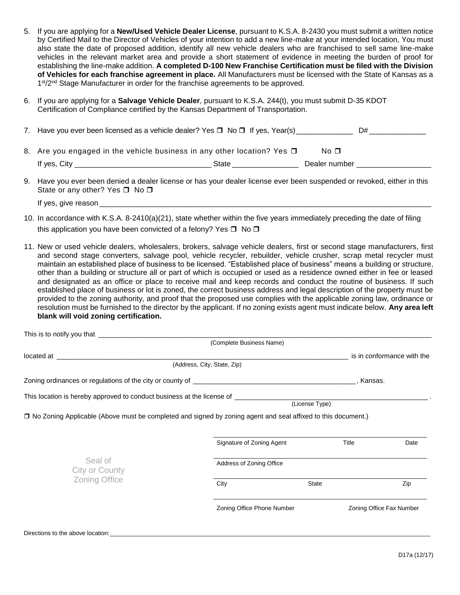- 5. If you are applying for a **New/Used Vehicle Dealer License**, pursuant to K.S.A. 8-2430 you must submit a written notice by Certified Mail to the Director of Vehicles of your intention to add a new line-make at your intended location, You must also state the date of proposed addition, identify all new vehicle dealers who are franchised to sell same line-make vehicles in the relevant market area and provide a short statement of evidence in meeting the burden of proof for establishing the line-make addition. **A completed D-100 New Franchise Certification must be filed with the Division of Vehicles for each franchise agreement in place.** All Manufacturers must be licensed with the State of Kansas as a 1<sup>st</sup>/2<sup>nd</sup> Stage Manufacturer in order for the franchise agreements to be approved.
- 6. If you are applying for a **Salvage Vehicle Dealer**, pursuant to K.S.A. 244(t), you must submit D-35 KDOT Certification of Compliance certified by the Kansas Department of Transportation.

| 7. Have you ever been licensed as a vehicle dealer? Yes $\Box$ No $\Box$ If yes, Year(s) |       | D#            |  |
|------------------------------------------------------------------------------------------|-------|---------------|--|
| 8. Are you engaged in the vehicle business in any other location? Yes $\square$          |       | No $\Box$     |  |
| If yes, City                                                                             | State | Dealer number |  |

- 9. Have you ever been denied a dealer license or has your dealer license ever been suspended or revoked, either in this State or any other? Yes  $\Box$  No  $\Box$ 
	- If yes, give reason $\_$
- 10. In accordance with K.S.A. 8-2410(a)(21), state whether within the five years immediately preceding the date of filing this application you have been convicted of a felony? Yes  $\Box$  No  $\Box$
- 11. New or used vehicle dealers, wholesalers, brokers, salvage vehicle dealers, first or second stage manufacturers, first and second stage converters, salvage pool, vehicle recycler, rebuilder, vehicle crusher, scrap metal recycler must maintain an established place of business to be licensed. "Established place of business" means a building or structure, other than a building or structure all or part of which is occupied or used as a residence owned either in fee or leased and designated as an office or place to receive mail and keep records and conduct the routine of business. If such established place of business or lot is zoned, the correct business address and legal description of the property must be provided to the zoning authority, and proof that the proposed use complies with the applicable zoning law, ordinance or resolution must be furnished to the director by the applicant. If no zoning exists agent must indicate below. **Any area left blank will void zoning certification.**

|                                                                                                                                                                                                                                      | (Complete Business Name)    |                |                            |
|--------------------------------------------------------------------------------------------------------------------------------------------------------------------------------------------------------------------------------------|-----------------------------|----------------|----------------------------|
|                                                                                                                                                                                                                                      |                             |                | is in conformance with the |
|                                                                                                                                                                                                                                      | (Address, City, State, Zip) |                |                            |
|                                                                                                                                                                                                                                      |                             | , Kansas.      |                            |
|                                                                                                                                                                                                                                      |                             | (License Type) |                            |
| □ No Zoning Applicable (Above must be completed and signed by zoning agent and seal affixed to this document.)                                                                                                                       |                             |                |                            |
|                                                                                                                                                                                                                                      |                             |                |                            |
|                                                                                                                                                                                                                                      | Signature of Zoning Agent   | Title          | Date                       |
| Seal of<br>City or County                                                                                                                                                                                                            | Address of Zoning Office    |                |                            |
| Zoning Office                                                                                                                                                                                                                        | City                        | <b>State</b>   | Zip                        |
|                                                                                                                                                                                                                                      | Zoning Office Phone Number  |                | Zoning Office Fax Number   |
| Directions to the above location: <u>contract and the set of the set of the set of the set of the set of the set of the set of the set of the set of the set of the set of the set of the set of the set of the set of the set o</u> |                             |                |                            |